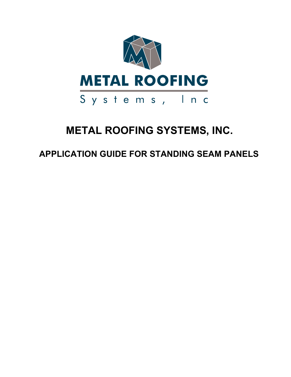

# **METAL ROOFING SYSTEMS, INC.**

## **APPLICATION GUIDE FOR STANDING SEAM PANELS**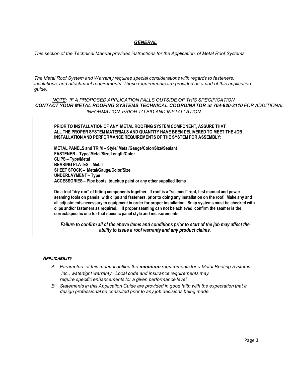#### *GENERAL*

*This section of the Technical Manual provides instructions for the Application of Metal Roof Systems.* 

*The Metal Roof System and Warranty requires special considerations with regards to fasteners, insulations, and attachment requirements. These requirements are provided as a part of this application guide.*

*NOTE: IF A PROPOSED APPLICATION FALLS OUTSIDE OF THIS SPECIFICATION, CONTACT YOUR METAL ROOFING SYSTEMS TECHNICAL COORDINATOR at 704-820-3110 FOR ADDITIONAL INFORMATION, PRIOR TO BID AND INSTALLATION.*

**PRIOR TO INSTALLATION OF ANY METAL ROOFING SYSTEM COMPONENT, ASSURE THAT ALL THE PROPER SYSTEM MATERIALS AND QUANTITY HAVE BEEN DELIVERED TO MEET THE JOB INSTALLATION AND PERFORMANCE REQUIREMENTS OF THE SYSTEM FOR ASSEMBLY:**

**METAL PANELS and TRIM ² Style/ Metal/Gauge/Color/Size/Sealant FASTENER ² Type/ Metal/Size/Length/Color CLIPS ² Type/Metal BEARING PLATES ² Metal SHEET STOCK ² Metal/Gauge/Color/Size UNDERLAYMENT ² Type ACCESSORIES ² Pipe boots, touchup paint or any other supplied items**

**Do a trial "dry run" of fitting components together. If roof is a "seamed" roof, test manual and power seaming tools on panels, with clips and fasteners, prior to doing any installation on the roof. Make any and all adjustments necessary to equipment in order for proper installation. Snap systems must be checked with clips and/or fasteners as required. If proper seaming can not be achieved, confirm the seamer is the correct/specific one for that specific panel style and measurements.**

*Failure to confirm all of the above items and conditions prior to start of the job may affect the ability to issue a roof warranty and any product claims.*

#### *APPLICABILITY*

- *A. Parameters of this manual outline the minimum requirements for a Metal Roofing Systems Inc., watertight warranty. Local code and insurance requirements may require specific enhancements for a given performance level.*
- *B. Statements in this Application Guide are provided in good faith with the expectation that a design professional be consulted prior to any job decisions being made.*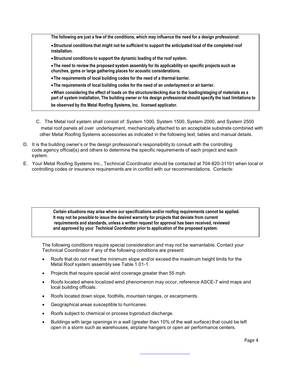**The following are just a few of the conditions, which may influence the need for a design professional:**

x**Structural conditions that might not be sufficient to support the anticipated load of the completed roof installation.**

**• Structural conditions to support the dynamic loading of the roof system.** 

x**The need to review the proposed system assembly for its applicability on specific projects such as churches, gyms or large gathering places for acoustic considerations.**

x**The requirements of local building codes for the need of a thermal barrier.**

x**The requirements of local building codes for the need of an underlayment or air barrier.**

x**When considering the effect of loads on the structure/decking due to the loading/staging of materials as a part of system installation, The building owner or his design professional should specify the load limitations to be observed by the Metal Roofing Systems, Inc. licensed applicator.**

- C. The Metal roof system shall consist of: System 1000, System 1500, System 2000, and System 2500 metal roof panels all over underlayment, mechanically attached to an acceptable substrate combined with other Metal Roofing Systems accessories as indicated in the following text, tables and manual details.
- D. It is the building owner's or the design professional's responsibility to consult with the controlling code agency official(s) and others to determine the specific requirements of each project and each system.
- E. Your Metal Roofing Systems Inc., Technical Coordinator should be contacted at 704-820-31101 when local or controlling codes or insurance requirements are in conflict with our recommendations. Contacts:

**Certain situations may arise where our specifications and/or roofing requirements cannot be applied. It may not be possible to issue the desired warranty for projects that deviate from current requirements and standards, unless a written request for approval has been received, reviewed and approved by your Technical Coordinator prior to application of the proposed system.**

The following conditions require special consideration and may not be warrantable. Contact your Technical Coordinator if any of the following conditions are present:

- Roofs that do not meet the minimum slope and/or exceed the maximum height limits for the Metal Roof system assembly see Table 1.01-1.
- Projects that require special wind coverage greater than 55 mph.
- Roofs located where localized wind phenomenon may occur, reference ASCE-7 wind maps and local building officials.
- Roofs located down slope, foothills, mountain ranges, or escarpments.
- Geographical areas susceptible to hurricanes.
- Roofs subject to chemical or process byproduct discharge.
- Buildings with large openings in a wall (greater than 10% of the wall surface) that could be left open in a storm such as warehouses, airplane hangers or open air performance centers.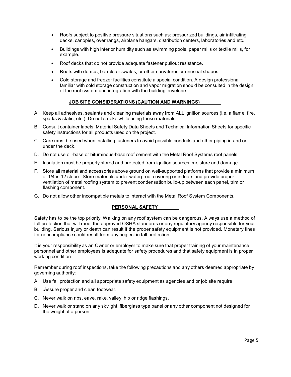- Roofs subject to positive pressure situations such as: pressurized buildings, air infiltrating decks, canopies, overhangs, airplane hangars, distribution centers, laboratories and etc.
- Buildings with high interior humidity such as swimming pools, paper mills or textile mills, for example.
- Roof decks that do not provide adequate fastener pullout resistance.
- Roofs with domes, barrels or swales, or other curvatures or unusual shapes.
- Cold storage and freezer facilities constitute a special condition. A design professional familiar with cold storage construction and vapor migration should be consulted in the design of the roof system and integration with the building envelope.

#### **JOB SITE CONSIDERATIONS (CAUTION AND WARNINGS)**

- A. Keep all adhesives, sealants and cleaning materials away from ALL ignition sources (i.e. a flame, fire, sparks & static, etc.). Do not smoke while using these materials.
- B. Consult container labels, Material Safety Data Sheets and Technical Information Sheets for specific safety instructions for all products used on the project.
- C. Care must be used when installing fasteners to avoid possible conduits and other piping in and or under the deck.
- D. Do not use oil-base or bituminous-base roof cement with the Metal Roof Systems roof panels.
- E. Insulation must be properly stored and protected from ignition sources, moisture and damage.
- F. Store all material and accessories above ground on well-supported platforms that provide a minimum of 1/4 in 12 slope. Store materials under waterproof covering or indoors and provide proper ventilation of metal roofing system to prevent condensation build-up between each panel, trim or flashing component.
- G. Do not allow other incompatible metals to interact with the Metal Roof System Components.

#### **PERSONAL SAFETY**

Safety has to be the top priority. Walking on any roof system can be dangerous. Always use a method of fall protection that will meet the approved OSHA standards or any regulatory agency responsible for your building. Serious injury or death can result if the proper safety equipment is not provided. Monetary fines for noncompliance could result from any neglect in fall protection.

It is your responsibility as an Owner or employer to make sure that proper training of your maintenance personnel and other employees is adequate for safety procedures and that safety equipment is in proper working condition.

Remember during roof inspections, take the following precautions and any others deemed appropriate by governing authority:

- A. Use fall protection and all appropriate safety equipment as agencies and or job site require
- B. .Assure proper and clean footwear.
- C. Never walk on ribs, eave, rake, valley, hip or ridge flashings.
- D. Never walk or stand on any skylight, fiberglass type panel or any other component not designed for the weight of a person.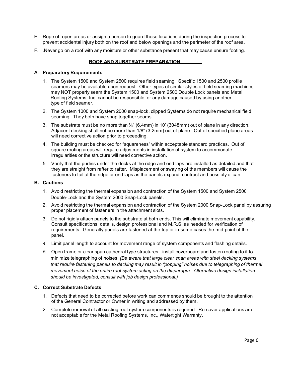- E. Rope off open areas or assign a person to guard these locations during the inspection process to prevent accidental injury both on the roof and below openings and the perimeter of the roof area.
- F. .Never go on a roof with any moisture or other substance present that may cause unsure footing.

#### **ROOF AND SUBSTRATE PREPARATION**

#### **A. Preparatory Requirements**

- 1. The System 1500 and System 2500 requires field seaming. Specific 1500 and 2500 profile seamers may be available upon request. Other types of similar styles of field seaming machines may NOT properly seam the System 1500 and System 2500 Double Lock panels and Metal Roofing Systems, Inc. cannot be responsible for any damage caused by using another type of field seamer.
- 2. The System 1000 and System 2000 snap-lock, clipped Systems do not require mechanical field seaming. They both have snap together seams.
- 3. The substrate must be no more than  $\frac{1}{4}$ " (6.4mm) in 10' (3048mm) out of plane in any direction. Adjacent decking shall not be more than 1/8" (3.2mm) out of plane. Out of specified plane areas will need corrective action prior to proceeding.
- 4. The building must be checked for "squareness" within acceptable standard practices. Out of square roofing areas will require adjustments in installation of system to accommodate irregularities or the structure will need corrective action.
- 5. Verify that the purlins under the decks at the ridge and end laps are installed as detailed and that they are straight from rafter to rafter. Misplacement or swaying of the members will cause the fasteners to fail at the ridge or end laps as the panels expand, contract and possibly oilcan.

#### **B. Cautions**

- 1. Avoid restricting the thermal expansion and contraction of the System 1500 and System 2500 Double-Lock and the System 2000 Snap-Lock panels.
- 2. Avoid restricting the thermal expansion and contraction of the System 2000 Snap-Lock panel by assuring proper placement of fasteners in the attachment slots.
- 3. Do not rigidly attach panels to the substrate at both ends. This will eliminate movement capability. Consult specifications, details, design professional and M.R.S. as needed for verification of requirements. Generally panels are fastened at the top or in some cases the mid-point of the panel.
- *4.* Limit panel length to account for movement range of system components and flashing details.
- *5.* Open frame or clear span cathedral type structures install coverboard and fasten roofing to it to minimize telegraphing of noises. *(Be aware that large clear span areas with steel decking systems that require fastening panels to decking may result in "popping" noises due to telegraphing of thermal movement noise of the entire roof system acting on the diaphragm . Alternative design installation should be investigated, consult with job design professional.)*

#### **C. Correct Substrate Defects**

- 1. Defects that need to be corrected before work can commence should be brought to the attention of the General Contractor or Owner in writing and addressed by them.
- 2. Complete removal of all existing roof system components is required. Re-cover applications are not acceptable for the Metal Roofing Systems, Inc., Watertight Warranty.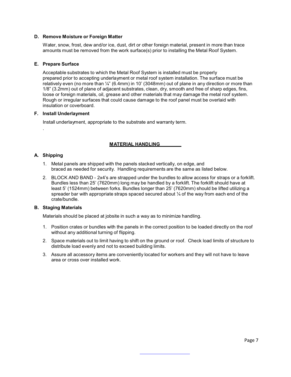#### **D. Remove Moisture or Foreign Matter**

Water, snow, frost, dew and/or ice, dust, dirt or other foreign material, present in more than trace amounts must be removed from the work surface(s) prior to installing the Metal Roof System.

#### **E. Prepare Surface**

Acceptable substrates to which the Metal Roof System is installed must be properly prepared prior to accepting underlayment or metal roof system installation. The surface must be relatively even (no more than  $\frac{1}{4}$ " (6.4mm) in 10' (3048mm) out of plane in any direction or more than 1/8´ (3.2mm) out of plane of adjacent substrates, clean, dry, smooth and free of sharp edges, fins, loose or foreign materials, oil, grease and other materials that may damage the metal roof system. Rough or irregular surfaces that could cause damage to the roof panel must be overlaid with insulation or coverboard.

#### **F. Install Underlayment**

Install underlayment, appropriate to the substrate and warranty term.

#### **MATERIAL HANDLING**

#### **A. Shipping**

.

- 1. Metal panels are shipped with the panels stacked vertically, on edge, and braced as needed for security. Handling requirements are the same as listed below.
- 2. BLOCK AND BAND 2x4's are strapped under the bundles to allow access for straps or a forklift. Bundles less than 25' (7620mm) long may be handled by a forklift. The forklift should have at least 5' (1524mm) between forks. Bundles longer than 25' (7620mm) should be lifted utilizing a spreader bar with appropriate straps spaced secured about  $\frac{1}{4}$  of the way from each end of the crate/bundle.

#### **B. Staging Materials**

Materials should be placed at jobsite in such a way as to minimize handling.

- 1. Position crates or bundles with the panels in the correct position to be loaded directly on the roof without any additional turning of flipping.
- 2. Space materials out to limit having to shift on the ground or roof. Check load limits of structure to distribute load evenly and not to exceed building limits.
- 3. Assure all accessory items are conveniently located for workers and they will not have to leave area or cross over installed work.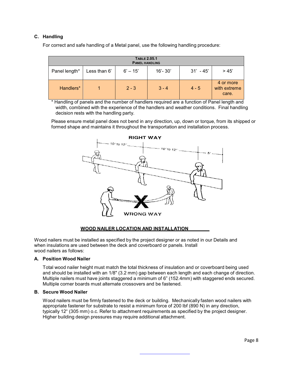#### **C. Handling**

For correct and safe handling of a Metal panel, use the following handling procedure:

| <b>TABLE 2.05.1</b><br><b>PANEL HANDLING</b> |              |            |             |             |                                    |
|----------------------------------------------|--------------|------------|-------------|-------------|------------------------------------|
| Panel length*                                | Less than 6' | $6' - 15'$ | $16' - 30'$ | $31' - 45'$ | > 45'                              |
| Handlers*                                    |              | $2 - 3$    | $3 - 4$     | $4 - 5$     | 4 or more<br>with extreme<br>care. |

\* Handling of panels and the number of handlers required are a function of Panel length and width, combined with the experience of the handlers and weather conditions. Final handling decision rests with the handling party.

Please ensure metal panel does not bend in any direction, up, down or torque, from its shipped or formed shape and maintains it throughout the transportation and installation process.



#### **WOOD NAILER LOCATION AND INSTALLATION**

Wood nailers must be installed as specified by the project designer or as noted in our Details and when insulations are used between the deck and coverboard or panels. Install wood nailers as follows:

#### **A. Position Wood Nailer**

Total wood nailer height must match the total thickness of insulation and or coverboard being used and should be installed with an 1/8" (3.2 mm) gap between each length and each change of direction. Multiple nailers must have joints staggered a minimum of 6" (152.4mm) with staggered ends secured. Multiple corner boards must alternate crossovers and be fastened.

#### **B. Secure Wood Nailer**

Wood nailers must be firmly fastened to the deck or building. Mechanically fasten wood nailers with appropriate fastener for substrate to resist a minimum force of 200 lbf (890 N) in any direction, typically 12" (305 mm) o.c. Refer to attachment requirements as specified by the project designer. Higher building design pressures may require additional attachment.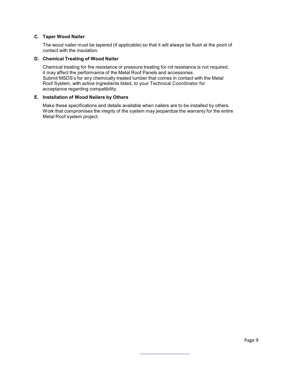#### **C. Taper Wood Nailer**

The wood nailer must be tapered (if applicable) so that it will always be flush at the point of contact with the insulation.

#### **D. Chemical Treating of Wood Nailer**

Chemical treating for fire resistance or pressure treating for rot resistance is not required, it may affect the performance of the Metal Roof Panels and accessories. Submit MSDS's for any chemically treated lumber that comes in contact with the Metal Roof System, with active ingredients listed, to your Technical Coordinator for acceptance regarding compatibility.

#### **E. Installation of Wood Nailers by Others**

Make these specifications and details available when nailers are to be installed by others. Work that compromises the integrity of the system may jeopardize the warranty for the entire Metal Roof system project.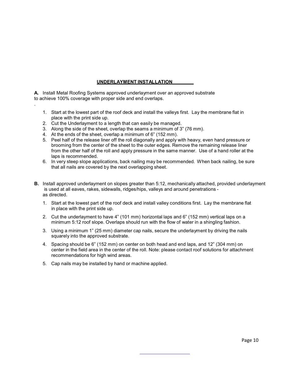#### **UNDERLAYMENT INSTALLATION**

**A.** Install Metal Roofing Systems approved underlayment over an approved substrate to achieve 100% coverage with proper side and end overlaps.

- 1. Start at the lowest part of the roof deck and install the valleys first. Lay the membrane flat in place with the print side up.
- 2. Cut the Underlayment to a length that can easily be managed.

.

- 3. Along the side of the sheet, overlap the seams a minimum of  $3"$  (76 mm).
- 4. At the ends of the sheet, overlap a minimum of 6" (152 mm).
- 5. Peel half of the release liner off the roll diagonally and apply with heavy, even hand pressure or brooming from the center of the sheet to the outer edges. Remove the remaining release liner from the other half of the roll and apply pressure in the same manner. Use of a hand roller at the laps is recommended.
- 6. In very steep slope applications, back nailing may be recommended. When back nailing, be sure that all nails are covered by the next overlapping sheet.
- **B.** Install approved underlayment on slopes greater than 5:12, mechanically attached, provided underlayment is used at all eaves, rakes, sidewalls, ridges/hips, valleys and around penetrations as directed.
	- 1. Start at the lowest part of the roof deck and install valley conditions first. Lay the membrane flat in place with the print side up.
	- 2. Cut the underlayment to have  $4$ " (101 mm) horizontal laps and  $6$ " (152 mm) vertical laps on a minimum 5:12 roof slope. Overlaps should run with the flow of water in a shingling fashion.
	- 3. Using a minimum 1" (25 mm) diameter cap nails, secure the underlayment by driving the nails squarely into the approved substrate.
	- 4. Spacing should be  $6"$  (152 mm) on center on both head and end laps, and 12 $"$  (304 mm) on center in the field area in the center of the roll. Note: please contact roof solutions for attachment recommendations for high wind areas.
	- 5. Cap nails may be installed by hand or machine applied.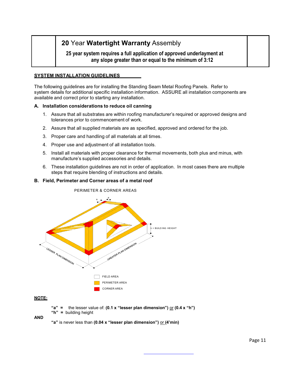### **20** Year **Watertight Warranty** Assembly

#### **25 year system requires a full application of approved underlayment at any slope greater than or equal to the minimum of 3:12**

#### **SYSTEM INSTALLATION GUIDELINES**

The following guidelines are for installing the Standing Seam Metal Roofing Panels. Refer to system details for additional specific installation information. ASSURE all installation components are available and correct prior to starting any installation.

#### **A. Installation considerations to reduce oil canning**

- 1. Assure that all substrates are within roofing manufacturer's required or approved designs and tolerances prior to commencement of work.
- 2. Assure that all supplied materials are as specified, approved and ordered for the job.
- 3. Proper care and handling of all materials at all times.
- 4. Proper use and adjustment of all installation tools.
- 5. Install all materials with proper clearance for thermal movements, both plus and minus, with manufacture's supplied accessories and details.
- 6. These installation guidelines are not in order of application. In most cases there are multiple steps that require blending of instructions and details.

#### **B. Field, Perimeter and Corner areas of a metal roof**



PERIMETER & CORNER AREAS

#### **NOTE:**

 $a^*$  **=** the lesser value of: **(0.1 x 'lesser plan dimension'')** or **(0.4 x "h'') ³K´ =** building height



**³D´** is never less than **(0.04 x ³lesser plan dimension´)** or **(4¶min)**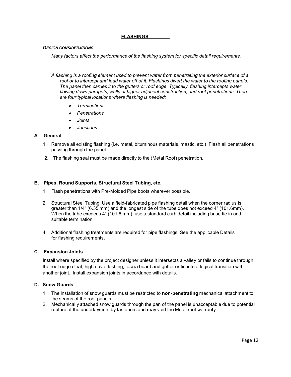#### **FLASHINGS**

#### *DESIGN CONSIDERATIONS*

*Many factors affect the performance of the flashing system for specific detail requirements.*

*A flashing is a roofing element used to prevent water from penetrating the exterior surface of a roof or to intercept and lead water off of it. Flashings divert the water to the roofing panels. The panel then carries it to the gutters or roof edge. Typically, flashing intercepts water flowing down parapets, walls of higher adjacent construction, and roof penetrations. There are four typical locations where flashing is needed:*

- $\bullet$ *Terminations*
- $\bullet$ *Penetrations*
- $\bullet$ *Joints*
- x *Junctions*

#### **A. General**

- 1. Remove all existing flashing (i.e. metal, bituminous materials, mastic, etc.) .Flash all penetrations passing through the panel.
- 2. The flashing seal must be made directly to the (Metal Roof) penetration.

#### **B. Pipes, Round Supports, Structural Steel Tubing, etc.**

- 1. Flash penetrations with Pre-Molded Pipe boots wherever possible.
- 2. Structural Steel Tubing: Use a field-fabricated pipe flashing detail when the corner radius is greater than  $1/4$ " (6.35 mm) and the longest side of the tube does not exceed  $4$ " (101.6mm). When the tube exceeds  $4"$  (101.6 mm), use a standard curb detail including base tie in and suitable termination.
- 4. Additional flashing treatments are required for pipe flashings. See the applicable Details for flashing requirements.

#### **C. Expansion Joints**

Install where specified by the project designer unless it intersects a valley or fails to continue through the roof edge cleat, high eave flashing, fascia board and gutter or tie into a logical transition with another joint. Install expansion joints in accordance with details.

#### **D. Snow Guards**

- 1. The installation of snow guards must be restricted to **non-penetrating** mechanical attachment to the seams of the roof panels.
- 2. Mechanically attached snow guards through the pan of the panel is unacceptable due to potential rupture of the underlayment by fasteners and may void the Metal roof warranty.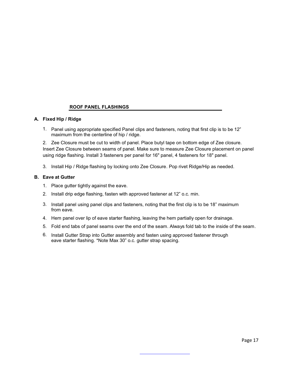#### **ROOF PANEL FLASHINGS**

#### **A. Fixed Hip / Ridge**

1. Panel using appropriate specified Panel clips and fasteners, noting that first clip is to be 12" maximum from the centerline of hip / ridge.

2. Zee Closure must be cut to width of panel. Place butyl tape on bottom edge of Zee closure. Insert Zee Closure between seams of panel. Make sure to measure Zee Closure placement on panel using ridge flashing. Install 3 fasteners per panel for 16" panel, 4 fasteners for 18" panel.

3. Install Hip / Ridge flashing by locking onto Zee Closure. Pop rivet Ridge/Hip as needed.

#### **B. Eave at Gutter**

- 1. Place gutter tightly against the eave.
- 2. Install drip edge flashing, fasten with approved fastener at 12" o.c. min.
- 3. Install panel using panel clips and fasteners, noting that the first clip is to be 18" maximum from eave.
- 4. Hem panel over lip of eave starter flashing, leaving the hem partially open for drainage.
- 5. Fold end tabs of panel seams over the end of the seam. Always fold tab to the inside of the seam.
- 6. Install Gutter Strap into Gutter assembly and fasten using approved fastener through eave starter flashing. \*Note Max 30" o.c. gutter strap spacing.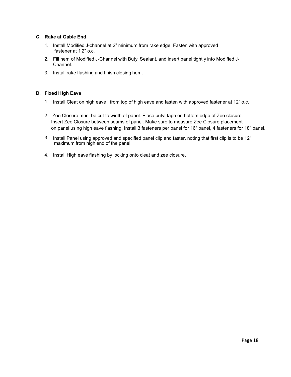#### **C. Rake at Gable End**

- 1. Install Modified J-channel at 2" minimum from rake edge. Fasten with approved fastener at  $12"$  o.c.
- 2. Fill hem of Modified J-Channel with Butyl Sealant, and insert panel tightly into Modified J-Channel.
- 3. Install rake flashing and finish closing hem.

#### **D. Fixed High Eave**

- 1. Install Cleat on high eave, from top of high eave and fasten with approved fastener at 12" o.c.
- 2. Zee Closure must be cut to width of panel. Place butyl tape on bottom edge of Zee closure. Insert Zee Closure between seams of panel. Make sure to measure Zee Closure placement on panel using high eave flashing. Install 3 fasteners per panel for 16" panel, 4 fasteners for 18" panel.
- 3. Install Panel using approved and specified panel clip and faster, noting that first clip is to be 12<sup>"</sup> maximum from high end of the panel
- 4. Install High eave flashing by locking onto cleat and zee closure.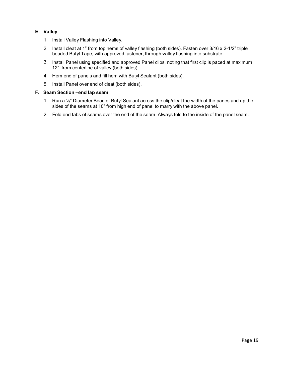#### **E. Valley**

- 1. Install Valley Flashing into Valley.
- 2. Install cleat at 1" from top hems of valley flashing (both sides). Fasten over 3/16 x 2-1/2" triple beaded Butyl Tape, with approved fastener, through **v**alley flashing into substrate..
- 3. Install Panel using specified and approved Panel clips, noting that first clip is paced at maximum 12" from centerline of valley (both sides).
- 4. Hem end of panels and fill hem with Butyl Sealant (both sides).
- 5. Install Panel over end of cleat (both sides).

#### **F.** Seam Section -end lap seam

- 1. Run a  $\frac{1}{4}$ " Diameter Bead of Butyl Sealant across the clip/cleat the width of the panes and up the sides of the seams at 10" from high end of panel to marry with the above panel.
- 2. Fold end tabs of seams over the end of the seam. Always fold to the inside of the panel seam.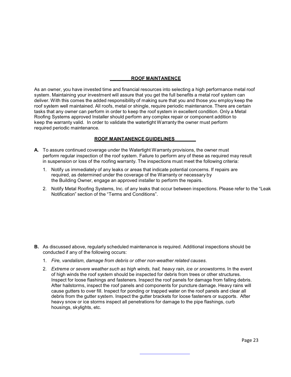#### **ROOF MAINTANENCE**

As an owner, you have invested time and financial resources into selecting a high performance metal roof system. Maintaining your investment will assure that you get the full benefits a metal roof system can deliver. With this comes the added responsibility of making sure that you and those you employ keep the roof system well maintained. All roofs, metal or shingle, require periodic maintenance. There are certain tasks that any owner can perform in order to keep the roof system in excellent condition. Only a Metal Roofing Systems approved Installer should perform any complex repair or component addition to keep the warranty valid. In order to validate the watertight Warranty the owner must perform required periodic maintenance.

#### **ROOF MAINTANENCE GUIDELINES**

- **A.** To assure continued coverage under the Watertight Warranty provisions, the owner must perform regular inspection of the roof system. Failure to perform any of these as required may result in suspension or loss of the roofing warranty. The inspections must meet the following criteria:
	- 1. Notify us immediately of any leaks or areas that indicate potential concerns. If repairs are required, as determined under the coverage of the Warranty or necessary by the Building Owner, engage an approved installer to perform the repairs.
	- 2. Notify Metal Roofing Systems, Inc. of any leaks that occur between inspections. Please refer to the "Leak Notification" section of the "Terms and Conditions".

- **B.** As discussed above, regularly scheduled maintenance is required. Additional inspections should be conducted if any of the following occurs:
	- 1. *Fire, vandalism, damage from debris or other non-weather related causes*.
	- 2. *Extreme or severe weather such as high winds, hail, heavy rain, ice or snowstorms.* In the event of high winds the roof system should be inspected for debris from trees or other structures. Inspect for loose flashings and fasteners. Inspect the roof panels for damage from falling debris. After hailstorms, inspect the roof panels and components for puncture damage. Heavy rains will cause gutters to over fill. Inspect for ponding or trapped water on the roof panels and clear all debris from the gutter system. Inspect the gutter brackets for loose fasteners or supports. After heavy snow or ice storms inspect all penetrations for damage to the pipe flashings, curb housings, skylights, etc.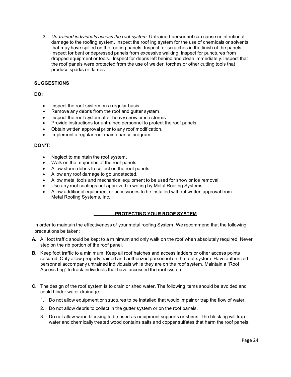3. *Un-trained individuals access the roof system.* Untrained personnel can cause unintentional damage to the roofing system. Inspect the roof ing system for the use of chemicals or solvents that may have spilled on the roofing panels. Inspect for scratches in the finish of the panels. Inspect for bent or depressed panels from excessive walking. Inspect for punctures from dropped equipment or tools. Inspect for debris left behind and clean immediately. Inspect that the roof panels were protected from the use of welder, torches or other cutting tools that produce sparks or flames.

#### **SUGGESTIONS**

**DO:**

- Inspect the roof system on a regular basis.
- Remove any debris from the roof and gutter system.
- Inspect the roof system after heavy snow or ice storms.
- Provide instructions for untrained personnel to protect the roof panels.
- Obtain written approval prior to any roof modification.
- Implement a regular roof maintenance program.

#### **DON¶T:**

- Neglect to maintain the roof system.
- Walk on the major ribs of the roof panels.
- Allow storm debris to collect on the roof panels.
- Allow any roof damage to go undetected.
- Allow metal tools and mechanical equipment to be used for snow or ice removal.
- Use any roof coatings not approved in writing by Metal Roofing Systems.
- x Allow additional equipment or accessories to be installed without written approval from Metal Roofing Systems, Inc..

#### **PROTECTING YOUR ROOF SYSTEM**

In order to maintain the effectiveness of your metal roofing System, We recommend that the following precautions be taken:

- **A.** All foot traffic should be kept to a minimum and only walk on the roof when absolutely required. Never step on the rib portion of the roof panel.
- **B.** Keep foot traffic to a minimum. Keep all roof hatches and access ladders or other access points secured. Only allow properly trained and authorized personnel on the roof system. Have authorized personnel accompany untrained individuals while they are on the roof system. Maintain a "Roof Access Log" to track individuals that have accessed the roof system.
- **C.** The design of the roof system is to drain or shed water. The following items should be avoided and could hinder water drainage:
	- 1. Do not allow equipment or structures to be installed that would impair or trap the flow of water.
	- 2. Do not allow debris to collect in the gutter system or on the roof panels.
	- 3. Do not allow wood blocking to be used as equipment supports or shims. The blocking will trap water and chemically treated wood contains salts and copper sulfates that harm the roof panels.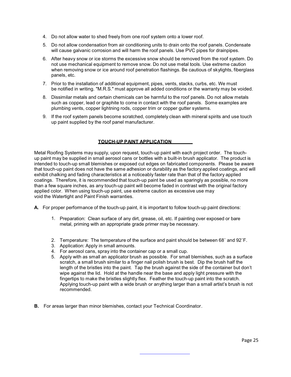- 4. Do not allow water to shed freely from one roof system onto a lower roof.
- 5. Do not allow condensation from air conditioning units to drain onto the roof panels. Condensate will cause galvanic corrosion and will harm the roof panels. Use PVC pipes for drainpipes.
- 6. After heavy snow or ice storms the excessive snow should be removed from the roof system. Do not use mechanical equipment to remove snow. Do not use metal tools. Use extreme caution when removing snow or ice around roof penetration flashings. Be cautious of skylights, fiberglass panels, etc.
- 7. Prior to the installation of additional equipment, pipes, vents, stacks, curbs, etc. We must be notified in writing. "M.R.S." must approve all added conditions or the warranty may be voided.
- 8. Dissimilar metals and certain chemicals can be harmful to the roof panels. Do not allow metals such as copper, lead or graphite to come in contact with the roof panels. Some examples are plumbing vents, copper lightning rods, copper trim or copper gutter systems.
- 9. If the roof system panels become scratched, completely clean with mineral spirits and use touch up paint supplied by the roof panel manufacturer.

#### **TOUCH-UP PAINT APPLICATION**

Metal Roofing Systems may supply, upon request, touch-up paint with each project order. The touchup paint may be supplied in small aerosol cans or bottles with a built-in brush applicator. The product is intended to touch-up small blemishes or exposed cut edges on fabricated components. Please be aware that touch-up paint does not have the same adhesion or durability as the factory applied coatings, and will exhibit chalking and fading characteristics at a noticeably faster rate than that of the factory applied coatings. Therefore, it is recommended that touch-up paint be used as sparingly as possible, no more than a few square inches, as any touch-up paint will become faded in contrast with the original factory applied color. When using touch-up paint, use extreme caution as excessive use may void the Watertight and Paint Finish warranties.

**A.** For proper performance of the touch-up paint, it is important to follow touch-up paint directions:

- 1. Preparation: Clean surface of any dirt, grease, oil, etc. If painting over exposed or bare metal, priming with an appropriate grade primer may be necessary.
- 2. Temperature: The temperature of the surface and paint should be between  $68°$  and  $92°F$ .
- 3. Application: Apply in small amounts.
- 4. For aerosol cans, spray into the container cap or a small cup.
- 5. Apply with as small an applicator brush as possible. For small blemishes, such as a surface scratch, a small brush similar to a finger nail polish brush is best. Dip the brush half the length of the bristles into the paint. Tap the brush against the side of the container but don't wipe against the lid. Hold at the handle near the base and apply light pressure with the fingertips to make the bristles slightly flex. Feather the touch-up paint into the scratch. Applying touch-up paint with a wide brush or anything larger than a small artist's brush is not recommended.
- **B.** For areas larger than minor blemishes, contact your Technical Coordinator.